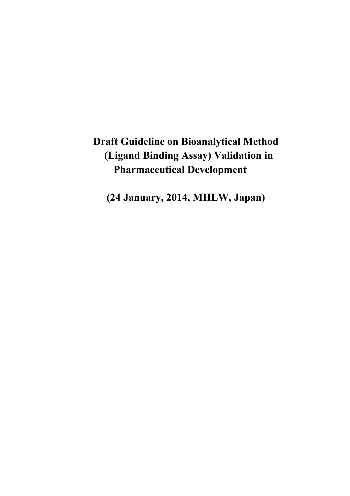# **Draft Guideline on Bioanalytical Method (Ligand Binding Assay) Validation in Pharmaceutical Development**

**(24 January, 2014, MHLW, Japan)**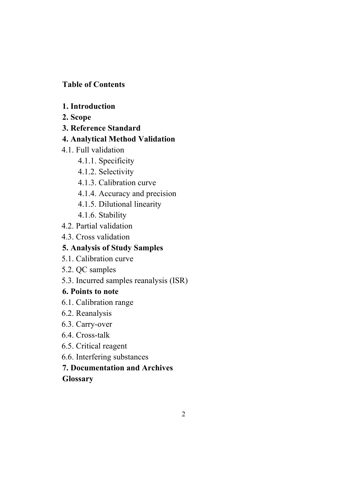# **Table of Contents**

- **1. Introduction**
- **2. Scope**
- **3. Reference Standard**
- **4. Analytical Method Validation**
- 4.1. Full validation
	- 4.1.1. Specificity
	- 4.1.2. Selectivity
	- 4.1.3. Calibration curve
	- 4.1.4. Accuracy and precision
	- 4.1.5. Dilutional linearity
	- 4.1.6. Stability
- 4.2. Partial validation
- 4.3. Cross validation

# **5. Analysis of Study Samples**

- 5.1. Calibration curve
- 5.2. QC samples
- 5.3. Incurred samples reanalysis (ISR)

# **6. Points to note**

- 6.1. Calibration range
- 6.2. Reanalysis
- 6.3. Carry-over
- 6.4. Cross-talk
- 6.5. Critical reagent
- 6.6. Interfering substances

# **7. Documentation and Archives**

# **Glossary**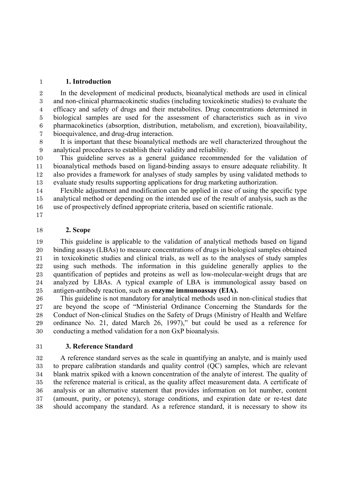#### **1. Introduction**

 In the development of medicinal products, bioanalytical methods are used in clinical and non-clinical pharmacokinetic studies (including toxicokinetic studies) to evaluate the efficacy and safety of drugs and their metabolites. Drug concentrations determined in biological samples are used for the assessment of characteristics such as in vivo pharmacokinetics (absorption, distribution, metabolism, and excretion), bioavailability, bioequivalence, and drug-drug interaction.

 It is important that these bioanalytical methods are well characterized throughout the analytical procedures to establish their validity and reliability.

 This guideline serves as a general guidance recommended for the validation of bioanalytical methods based on ligand-binding assays to ensure adequate reliability. It also provides a framework for analyses of study samples by using validated methods to evaluate study results supporting applications for drug marketing authorization.

 Flexible adjustment and modification can be applied in case of using the specific type analytical method or depending on the intended use of the result of analysis, such as the use of prospectively defined appropriate criteria, based on scientific rationale.

### **2. Scope**

 This guideline is applicable to the validation of analytical methods based on ligand binding assays (LBAs) to measure concentrations of drugs in biological samples obtained in toxicokinetic studies and clinical trials, as well as to the analyses of study samples using such methods. The information in this guideline generally applies to the quantification of peptides and proteins as well as low-molecular-weight drugs that are analyzed by LBAs. A typical example of LBA is immunological assay based on antigen-antibody reaction, such as **enzyme immunoassay (EIA).**

 This guideline is not mandatory for analytical methods used in non-clinical studies that are beyond the scope of "Ministerial Ordinance Concerning the Standards for the Conduct of Non-clinical Studies on the Safety of Drugs (Ministry of Health and Welfare ordinance No. 21, dated March 26, 1997)," but could be used as a reference for conducting a method validation for a non GxP bioanalysis.

#### **3. Reference Standard**

 A reference standard serves as the scale in quantifying an analyte, and is mainly used to prepare calibration standards and quality control (QC) samples, which are relevant blank matrix spiked with a known concentration of the analyte of interest. The quality of the reference material is critical, as the quality affect measurement data. A certificate of analysis or an alternative statement that provides information on lot number, content (amount, purity, or potency), storage conditions, and expiration date or re-test date should accompany the standard. As a reference standard, it is necessary to show its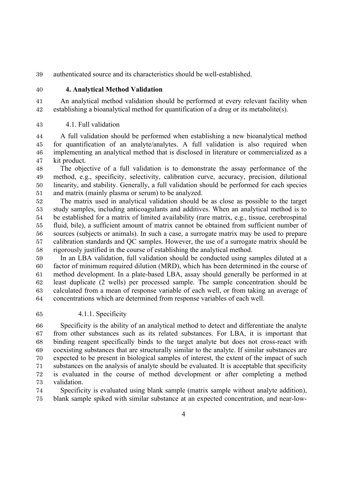authenticated source and its characteristics should be well-established.

### **4. Analytical Method Validation**

 An analytical method validation should be performed at every relevant facility when establishing a bioanalytical method for quantification of a drug or its metabolite(s).

#### 4.1. Full validation

 A full validation should be performed when establishing a new bioanalytical method for quantification of an analyte/analytes. A full validation is also required when implementing an analytical method that is disclosed in literature or commercialized as a kit product.

 The objective of a full validation is to demonstrate the assay performance of the method, e.g., specificity, selectivity, calibration curve, accuracy, precision, dilutional linearity, and stability. Generally, a full validation should be performed for each species and matrix (mainly plasma or serum) to be analyzed.

 The matrix used in analytical validation should be as close as possible to the target study samples, including anticoagulants and additives. When an analytical method is to be established for a matrix of limited availability (rare matrix, e.g., tissue, cerebrospinal fluid, bile), a sufficient amount of matrix cannot be obtained from sufficient number of sources (subjects or animals). In such a case, a surrogate matrix may be used to prepare calibration standards and QC samples. However, the use of a surrogate matrix should be rigorously justified in the course of establishing the analytical method.

 In an LBA validation, full validation should be conducted using samples diluted at a factor of minimum required dilution (MRD), which has been determined in the course of method development. In a plate-based LBA, assay should generally be performed in at least duplicate (2 wells) per processed sample. The sample concentration should be calculated from a mean of response variable of each well, or from taking an average of concentrations which are determined from response variables of each well.

4.1.1. Specificity

 Specificity is the ability of an analytical method to detect and differentiate the analyte from other substances such as its related substances. For LBA, it is important that binding reagent specifically binds to the target analyte but does not cross-react with coexisting substances that are structurally similar to the analyte. If similar substances are expected to be present in biological samples of interest, the extent of the impact of such substances on the analysis of analyte should be evaluated. It is acceptable that specificity is evaluated in the course of method development or after completing a method validation.

 Specificity is evaluated using blank sample (matrix sample without analyte addition), blank sample spiked with similar substance at an expected concentration, and near-low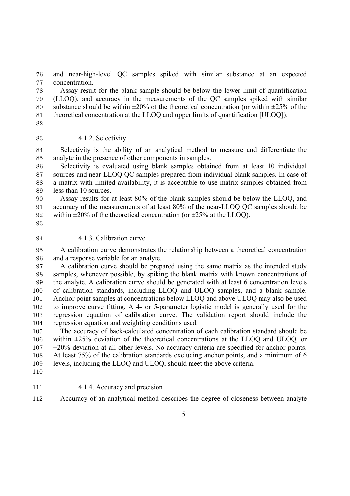and near-high-level QC samples spiked with similar substance at an expected concentration.

 Assay result for the blank sample should be below the lower limit of quantification (LLOQ), and accuracy in the measurements of the QC samples spiked with similar 80 substance should be within  $\pm 20\%$  of the theoretical concentration (or within  $\pm 25\%$  of the theoretical concentration at the LLOQ and upper limits of quantification [ULOQ]).

- 
- 4.1.2. Selectivity

 Selectivity is the ability of an analytical method to measure and differentiate the analyte in the presence of other components in samples.

 Selectivity is evaluated using blank samples obtained from at least 10 individual sources and near-LLOQ QC samples prepared from individual blank samples. In case of a matrix with limited availability, it is acceptable to use matrix samples obtained from less than 10 sources.

 Assay results for at least 80% of the blank samples should be below the LLOQ, and accuracy of the measurements of at least 80% of the near-LLOQ QC samples should be 92 within  $\pm 20\%$  of the theoretical concentration (or  $\pm 25\%$  at the LLOQ).

#### 94 4.1.3. Calibration curve

 A calibration curve demonstrates the relationship between a theoretical concentration and a response variable for an analyte.

 A calibration curve should be prepared using the same matrix as the intended study samples, whenever possible, by spiking the blank matrix with known concentrations of the analyte. A calibration curve should be generated with at least 6 concentration levels of calibration standards, including LLOQ and ULOQ samples, and a blank sample. Anchor point samples at concentrations below LLOQ and above ULOQ may also be used to improve curve fitting. A 4- or 5-parameter logistic model is generally used for the regression equation of calibration curve. The validation report should include the regression equation and weighting conditions used.

 The accuracy of back-calculated concentration of each calibration standard should be within ±25% deviation of the theoretical concentrations at the LLOQ and ULOQ, or  $107 \pm 20\%$  deviation at all other levels. No accuracy criteria are specified for anchor points. At least 75% of the calibration standards excluding anchor points, and a minimum of 6 levels, including the LLOQ and ULOQ, should meet the above criteria.

- 
- 4.1.4. Accuracy and precision
- Accuracy of an analytical method describes the degree of closeness between analyte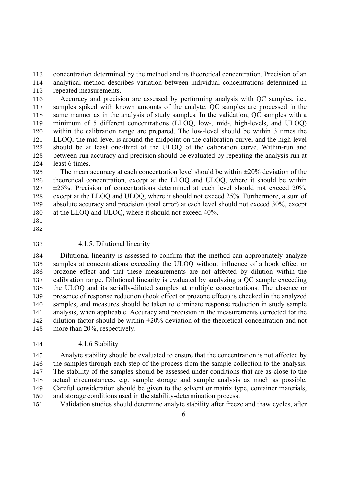concentration determined by the method and its theoretical concentration. Precision of an analytical method describes variation between individual concentrations determined in repeated measurements.

 Accuracy and precision are assessed by performing analysis with QC samples, i.e., samples spiked with known amounts of the analyte. QC samples are processed in the same manner as in the analysis of study samples. In the validation, QC samples with a minimum of 5 different concentrations (LLOQ, low-, mid-, high-levels, and ULOQ) within the calibration range are prepared. The low-level should be within 3 times the LLOQ, the mid-level is around the midpoint on the calibration curve, and the high-level should be at least one-third of the ULOQ of the calibration curve. Within-run and between-run accuracy and precision should be evaluated by repeating the analysis run at least 6 times.

125 The mean accuracy at each concentration level should be within  $\pm 20\%$  deviation of the theoretical concentration, except at the LLOQ and ULOQ, where it should be within  $127 \pm 25\%$ . Precision of concentrations determined at each level should not exceed 20%, except at the LLOQ and ULOQ, where it should not exceed 25%. Furthermore, a sum of absolute accuracy and precision (total error) at each level should not exceed 30%, except at the LLOQ and ULOQ, where it should not exceed 40%.

4.1.5. Dilutional linearity

 Dilutional linearity is assessed to confirm that the method can appropriately analyze samples at concentrations exceeding the ULOQ without influence of a hook effect or prozone effect and that these measurements are not affected by dilution within the calibration range. Dilutional linearity is evaluated by analyzing a QC sample exceeding the ULOQ and its serially-diluted samples at multiple concentrations. The absence or presence of response reduction (hook effect or prozone effect) is checked in the analyzed samples, and measures should be taken to eliminate response reduction in study sample analysis, when applicable. Accuracy and precision in the measurements corrected for the 142 dilution factor should be within  $\pm 20\%$  deviation of the theoretical concentration and not more than 20%, respectively.

4.1.6 Stability

 Analyte stability should be evaluated to ensure that the concentration is not affected by the samples through each step of the process from the sample collection to the analysis. The stability of the samples should be assessed under conditions that are as close to the actual circumstances, e.g. sample storage and sample analysis as much as possible. Careful consideration should be given to the solvent or matrix type, container materials, and storage conditions used in the stability-determination process.

Validation studies should determine analyte stability after freeze and thaw cycles, after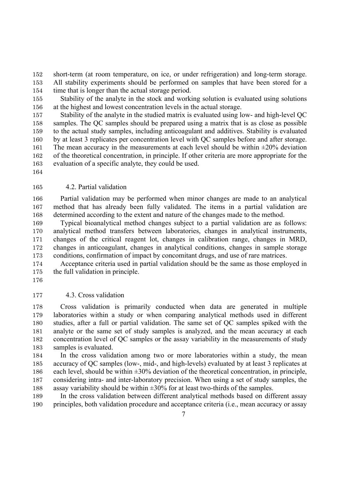short-term (at room temperature, on ice, or under refrigeration) and long-term storage. All stability experiments should be performed on samples that have been stored for a time that is longer than the actual storage period.

 Stability of the analyte in the stock and working solution is evaluated using solutions at the highest and lowest concentration levels in the actual storage.

 Stability of the analyte in the studied matrix is evaluated using low- and high-level QC samples. The QC samples should be prepared using a matrix that is as close as possible to the actual study samples, including anticoagulant and additives. Stability is evaluated by at least 3 replicates per concentration level with QC samples before and after storage. 161 The mean accuracy in the measurements at each level should be within  $\pm 20\%$  deviation of the theoretical concentration, in principle. If other criteria are more appropriate for the evaluation of a specific analyte, they could be used.

#### 4.2. Partial validation

 Partial validation may be performed when minor changes are made to an analytical method that has already been fully validated. The items in a partial validation are determined according to the extent and nature of the changes made to the method.

 Typical bioanalytical method changes subject to a partial validation are as follows: analytical method transfers between laboratories, changes in analytical instruments, changes of the critical reagent lot, changes in calibration range, changes in MRD, changes in anticoagulant, changes in analytical conditions, changes in sample storage conditions, confirmation of impact by concomitant drugs, and use of rare matrices.

 Acceptance criteria used in partial validation should be the same as those employed in the full validation in principle.

4.3. Cross validation

 Cross validation is primarily conducted when data are generated in multiple laboratories within a study or when comparing analytical methods used in different studies, after a full or partial validation. The same set of QC samples spiked with the analyte or the same set of study samples is analyzed, and the mean accuracy at each concentration level of QC samples or the assay variability in the measurements of study samples is evaluated.

 In the cross validation among two or more laboratories within a study, the mean accuracy of QC samples (low-, mid-, and high-levels) evaluated by at least 3 replicates at each level, should be within ±30% deviation of the theoretical concentration, in principle, considering intra- and inter-laboratory precision. When using a set of study samples, the 188 assay variability should be within  $\pm 30\%$  for at least two-thirds of the samples.

 In the cross validation between different analytical methods based on different assay principles, both validation procedure and acceptance criteria (i.e., mean accuracy or assay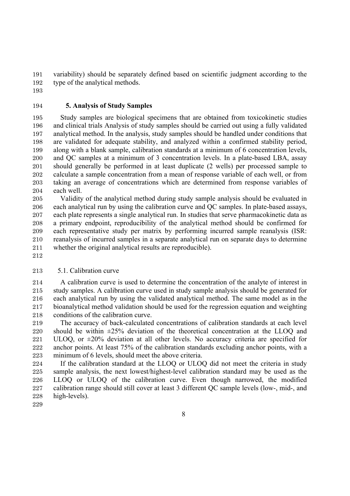variability) should be separately defined based on scientific judgment according to the type of the analytical methods.

### **5. Analysis of Study Samples**

 Study samples are biological specimens that are obtained from toxicokinetic studies and clinical trials Analysis of study samples should be carried out using a fully validated analytical method. In the analysis, study samples should be handled under conditions that are validated for adequate stability, and analyzed within a confirmed stability period, along with a blank sample, calibration standards at a minimum of 6 concentration levels, and QC samples at a minimum of 3 concentration levels. In a plate-based LBA, assay should generally be performed in at least duplicate (2 wells) per processed sample to calculate a sample concentration from a mean of response variable of each well, or from taking an average of concentrations which are determined from response variables of each well.

 Validity of the analytical method during study sample analysis should be evaluated in each analytical run by using the calibration curve and QC samples. In plate-based assays, each plate represents a single analytical run. In studies that serve pharmacokinetic data as a primary endpoint, reproducibility of the analytical method should be confirmed for each representative study per matrix by performing incurred sample reanalysis (ISR: reanalysis of incurred samples in a separate analytical run on separate days to determine whether the original analytical results are reproducible).

### 5.1. Calibration curve

 A calibration curve is used to determine the concentration of the analyte of interest in study samples. A calibration curve used in study sample analysis should be generated for each analytical run by using the validated analytical method. The same model as in the bioanalytical method validation should be used for the regression equation and weighting conditions of the calibration curve.

 The accuracy of back-calculated concentrations of calibration standards at each level should be within ±25% deviation of the theoretical concentration at the LLOQ and 221 ULOO, or  $\pm 20\%$  deviation at all other levels. No accuracy criteria are specified for anchor points. At least 75% of the calibration standards excluding anchor points, with a minimum of 6 levels, should meet the above criteria.

 If the calibration standard at the LLOQ or ULOQ did not meet the criteria in study sample analysis, the next lowest/highest-level calibration standard may be used as the LLOQ or ULOQ of the calibration curve. Even though narrowed, the modified calibration range should still cover at least 3 different QC sample levels (low-, mid-, and high-levels).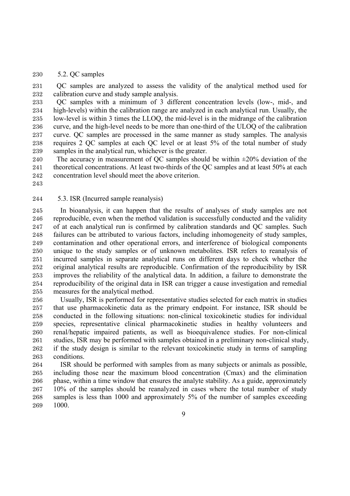5.2. QC samples

 QC samples are analyzed to assess the validity of the analytical method used for calibration curve and study sample analysis.

 QC samples with a minimum of 3 different concentration levels (low-, mid-, and high-levels) within the calibration range are analyzed in each analytical run. Usually, the low-level is within 3 times the LLOQ, the mid-level is in the midrange of the calibration curve, and the high-level needs to be more than one-third of the ULOQ of the calibration curve. QC samples are processed in the same manner as study samples. The analysis requires 2 QC samples at each QC level or at least 5% of the total number of study samples in the analytical run, whichever is the greater.

240 The accuracy in measurement of QC samples should be within  $\pm 20\%$  deviation of the 241 theoretical concentrations. At least two-thirds of the OC samples and at least 50% at each concentration level should meet the above criterion.

5.3. ISR (Incurred sample reanalysis)

 In bioanalysis, it can happen that the results of analyses of study samples are not reproducible, even when the method validation is successfully conducted and the validity of at each analytical run is confirmed by calibration standards and QC samples. Such failures can be attributed to various factors, including inhomogeneity of study samples, contamination and other operational errors, and interference of biological components unique to the study samples or of unknown metabolites. ISR refers to reanalysis of incurred samples in separate analytical runs on different days to check whether the original analytical results are reproducible. Confirmation of the reproducibility by ISR improves the reliability of the analytical data. In addition, a failure to demonstrate the reproducibility of the original data in ISR can trigger a cause investigation and remedial measures for the analytical method.

 Usually, ISR is performed for representative studies selected for each matrix in studies that use pharmacokinetic data as the primary endpoint. For instance, ISR should be conducted in the following situations: non-clinical toxicokinetic studies for individual species, representative clinical pharmacokinetic studies in healthy volunteers and renal/hepatic impaired patients, as well as bioequivalence studies. For non-clinical studies, ISR may be performed with samples obtained in a preliminary non-clinical study, if the study design is similar to the relevant toxicokinetic study in terms of sampling conditions.

 ISR should be performed with samples from as many subjects or animals as possible, including those near the maximum blood concentration (Cmax) and the elimination phase, within a time window that ensures the analyte stability. As a guide, approximately 10% of the samples should be reanalyzed in cases where the total number of study samples is less than 1000 and approximately 5% of the number of samples exceeding 1000.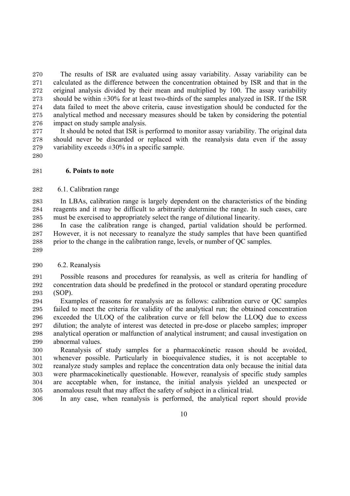The results of ISR are evaluated using assay variability. Assay variability can be calculated as the difference between the concentration obtained by ISR and that in the original analysis divided by their mean and multiplied by 100. The assay variability 273 should be within  $\pm 30\%$  for at least two-thirds of the samples analyzed in ISR. If the ISR data failed to meet the above criteria, cause investigation should be conducted for the analytical method and necessary measures should be taken by considering the potential impact on study sample analysis.

 It should be noted that ISR is performed to monitor assay variability. The original data should never be discarded or replaced with the reanalysis data even if the assay 279 variability exceeds  $\pm 30\%$  in a specific sample.

#### **6. Points to note**

6.1. Calibration range

 In LBAs, calibration range is largely dependent on the characteristics of the binding reagents and it may be difficult to arbitrarily determine the range. In such cases, care must be exercised to appropriately select the range of dilutional linearity.

 In case the calibration range is changed, partial validation should be performed. However, it is not necessary to reanalyze the study samples that have been quantified prior to the change in the calibration range, levels, or number of QC samples.

6.2. Reanalysis

 Possible reasons and procedures for reanalysis, as well as criteria for handling of concentration data should be predefined in the protocol or standard operating procedure (SOP).

 Examples of reasons for reanalysis are as follows: calibration curve or QC samples failed to meet the criteria for validity of the analytical run; the obtained concentration exceeded the ULOQ of the calibration curve or fell below the LLOQ due to excess dilution; the analyte of interest was detected in pre-dose or placebo samples; improper analytical operation or malfunction of analytical instrument; and causal investigation on abnormal values.

 Reanalysis of study samples for a pharmacokinetic reason should be avoided, whenever possible. Particularly in bioequivalence studies, it is not acceptable to reanalyze study samples and replace the concentration data only because the initial data were pharmacokinetically questionable. However, reanalysis of specific study samples are acceptable when, for instance, the initial analysis yielded an unexpected or anomalous result that may affect the safety of subject in a clinical trial.

In any case, when reanalysis is performed, the analytical report should provide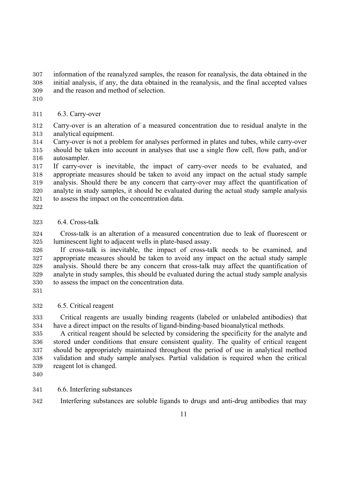information of the reanalyzed samples, the reason for reanalysis, the data obtained in the initial analysis, if any, the data obtained in the reanalysis, and the final accepted values and the reason and method of selection.

## 6.3. Carry-over

 Carry-over is an alteration of a measured concentration due to residual analyte in the analytical equipment.

 Carry-over is not a problem for analyses performed in plates and tubes, while carry-over should be taken into account in analyses that use a single flow cell, flow path, and/or autosampler.

 If carry-over is inevitable, the impact of carry-over needs to be evaluated, and appropriate measures should be taken to avoid any impact on the actual study sample analysis. Should there be any concern that carry-over may affect the quantification of analyte in study samples, it should be evaluated during the actual study sample analysis to assess the impact on the concentration data.

### 6.4. Cross-talk

 Cross-talk is an alteration of a measured concentration due to leak of fluorescent or luminescent light to adjacent wells in plate-based assay.

 If cross-talk is inevitable, the impact of cross-talk needs to be examined, and appropriate measures should be taken to avoid any impact on the actual study sample analysis. Should there be any concern that cross-talk may affect the quantification of analyte in study samples, this should be evaluated during the actual study sample analysis to assess the impact on the concentration data.

# 6.5. Critical reagent

 Critical reagents are usually binding reagents (labeled or unlabeled antibodies) that have a direct impact on the results of ligand-binding-based bioanalytical methods.

 A critical reagent should be selected by considering the specificity for the analyte and stored under conditions that ensure consistent quality. The quality of critical reagent should be appropriately maintained throughout the period of use in analytical method validation and study sample analyses. Partial validation is required when the critical reagent lot is changed.

# 6.6. Interfering substances

Interfering substances are soluble ligands to drugs and anti-drug antibodies that may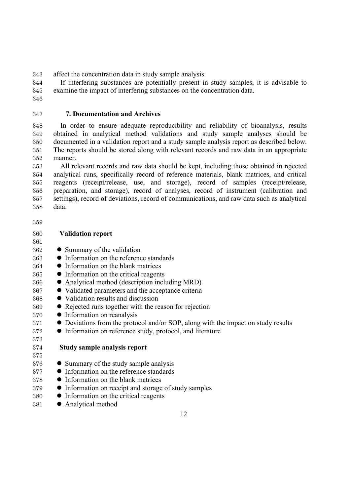affect the concentration data in study sample analysis.

 If interfering substances are potentially present in study samples, it is advisable to examine the impact of interfering substances on the concentration data.

# **7. Documentation and Archives**

 In order to ensure adequate reproducibility and reliability of bioanalysis, results obtained in analytical method validations and study sample analyses should be documented in a validation report and a study sample analysis report as described below. The reports should be stored along with relevant records and raw data in an appropriate manner.

 All relevant records and raw data should be kept, including those obtained in rejected analytical runs, specifically record of reference materials, blank matrices, and critical reagents (receipt/release, use, and storage), record of samples (receipt/release, preparation, and storage), record of analyses, record of instrument (calibration and settings), record of deviations, record of communications, and raw data such as analytical data.

| 360 | <b>Validation report</b> |  |
|-----|--------------------------|--|
|     |                          |  |

- 
- Summary of the validation
- Information on the reference standards
- Information on the blank matrices
- Information on the critical reagents
- Analytical method (description including MRD)
- $\bullet$  Validated parameters and the acceptance criteria
- Validation results and discussion
- elected runs together with the reason for rejection
- Information on reanalysis
- $\bullet$  Deviations from the protocol and/or SOP, along with the impact on study results
- $\bullet$  Information on reference study, protocol, and literature

# **Study sample analysis report**

- Summary of the study sample analysis
- Information on the reference standards
- Information on the blank matrices
- 379 Information on receipt and storage of study samples
- Information on the critical reagents
- Analytical method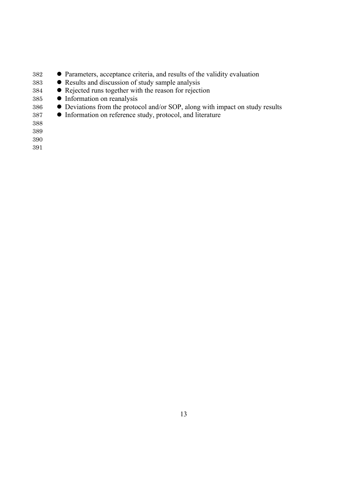- **e** Parameters, acceptance criteria, and results of the validity evaluation
- executs and discussion of study sample analysis
- 384 Rejected runs together with the reason for rejection
- Information on reanalysis
- **Deviations from the protocol and/or SOP, along with impact on study results**
- 387 Information on reference study, protocol, and literature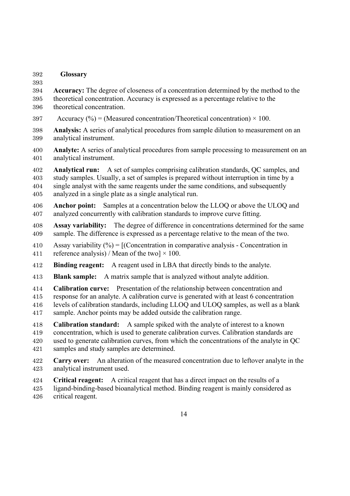#### **Glossary**

 **Accuracy:** The degree of closeness of a concentration determined by the method to the theoretical concentration. Accuracy is expressed as a percentage relative to the theoretical concentration.

- 397 Accuracy (%) = (Measured concentration/Theoretical concentration)  $\times$  100.
- **Analysis:** A series of analytical procedures from sample dilution to measurement on an analytical instrument.
- **Analyte:** A series of analytical procedures from sample processing to measurement on an analytical instrument.
- **Analytical run:** A set of samples comprising calibration standards, QC samples, and study samples. Usually, a set of samples is prepared without interruption in time by a single analyst with the same reagents under the same conditions, and subsequently analyzed in a single plate as a single analytical run.
- **Anchor point:** Samples at a concentration below the LLOQ or above the ULOQ and analyzed concurrently with calibration standards to improve curve fitting.
- **Assay variability:** The degree of difference in concentrations determined for the same sample. The difference is expressed as a percentage relative to the mean of the two.
- 410 Assay variability  $\left(\frac{\%}{\%}\right) = \left[$  (Concentration in comparative analysis Concentration in 411 reference analysis) / Mean of the two  $\times$  100.
- **Binding reagent:** A reagent used in LBA that directly binds to the analyte.
- **Blank sample:** A matrix sample that is analyzed without analyte addition.
- **Calibration curve:** Presentation of the relationship between concentration and
- response for an analyte. A calibration curve is generated with at least 6 concentration
- levels of calibration standards, including LLOQ and ULOQ samples, as well as a blank sample. Anchor points may be added outside the calibration range.
- **Calibration standard:** A sample spiked with the analyte of interest to a known concentration, which is used to generate calibration curves. Calibration standards are used to generate calibration curves, from which the concentrations of the analyte in QC samples and study samples are determined.
- **Carry over:** An alteration of the measured concentration due to leftover analyte in the analytical instrument used.
- **Critical reagent:** A critical reagent that has a direct impact on the results of a
- ligand-binding-based bioanalytical method. Binding reagent is mainly considered as critical reagent.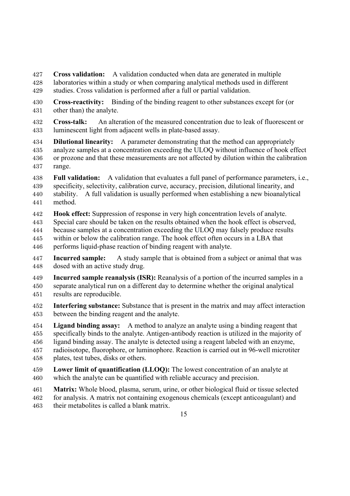**Cross validation:** A validation conducted when data are generated in multiple laboratories within a study or when comparing analytical methods used in different studies. Cross validation is performed after a full or partial validation.

 **Cross-reactivity:** Binding of the binding reagent to other substances except for (or other than) the analyte.

 **Cross-talk:** An alteration of the measured concentration due to leak of fluorescent or luminescent light from adjacent wells in plate-based assay.

 **Dilutional linearity:** A parameter demonstrating that the method can appropriately analyze samples at a concentration exceeding the ULOQ without influence of hook effect or prozone and that these measurements are not affected by dilution within the calibration range.

 **Full validation:** A validation that evaluates a full panel of performance parameters, i.e., specificity, selectivity, calibration curve, accuracy, precision, dilutional linearity, and stability. A full validation is usually performed when establishing a new bioanalytical method.

**Hook effect:** Suppression of response in very high concentration levels of analyte.

Special care should be taken on the results obtained when the hook effect is observed,

because samples at a concentration exceeding the ULOQ may falsely produce results

within or below the calibration range. The hook effect often occurs in a LBA that

performs liquid-phase reaction of binding reagent with analyte.

 **Incurred sample:** A study sample that is obtained from a subject or animal that was dosed with an active study drug.

 **Incurred sample reanalysis (ISR):** Reanalysis of a portion of the incurred samples in a separate analytical run on a different day to determine whether the original analytical results are reproducible.

 **Interfering substance:** Substance that is present in the matrix and may affect interaction between the binding reagent and the analyte.

 **Ligand binding assay:** A method to analyze an analyte using a binding reagent that specifically binds to the analyte. Antigen-antibody reaction is utilized in the majority of ligand binding assay. The analyte is detected using a reagent labeled with an enzyme, radioisotope, fluorophore, or luminophore. Reaction is carried out in 96-well microtiter plates, test tubes, disks or others.

- **Lower limit of quantification (LLOQ):** The lowest concentration of an analyte at which the analyte can be quantified with reliable accuracy and precision.
- **Matrix:** Whole blood, plasma, serum, urine, or other biological fluid or tissue selected for analysis. A matrix not containing exogenous chemicals (except anticoagulant) and their metabolites is called a blank matrix.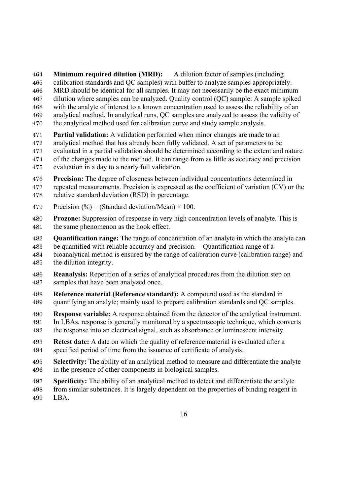**Minimum required dilution (MRD):** A dilution factor of samples (including

- calibration standards and QC samples) with buffer to analyze samples appropriately.
- MRD should be identical for all samples. It may not necessarily be the exact minimum
- dilution where samples can be analyzed. Quality control (QC) sample: A sample spiked
- with the analyte of interest to a known concentration used to assess the reliability of an
- analytical method. In analytical runs, QC samples are analyzed to assess the validity of the analytical method used for calibration curve and study sample analysis.
- **Partial validation:** A validation performed when minor changes are made to an
- analytical method that has already been fully validated. A set of parameters to be
- evaluated in a partial validation should be determined according to the extent and nature
- of the changes made to the method. It can range from as little as accuracy and precision
- evaluation in a day to a nearly full validation.
- **Precision:** The degree of closeness between individual concentrations determined in repeated measurements. Precision is expressed as the coefficient of variation (CV) or the relative standard deviation (RSD) in percentage.
- 479 Precision  $\left(\frac{9}{6}\right)$  = (Standard deviation/Mean) × 100.
- **Prozone:** Suppression of response in very high concentration levels of analyte. This is the same phenomenon as the hook effect.
- **Quantification range:** The range of concentration of an analyte in which the analyte can be quantified with reliable accuracy and precision. Quantification range of a
- bioanalytical method is ensured by the range of calibration curve (calibration range) and the dilution integrity.
- **Reanalysis:** Repetition of a series of analytical procedures from the dilution step on samples that have been analyzed once.
- **Reference material (Reference standard):** A compound used as the standard in quantifying an analyte; mainly used to prepare calibration standards and QC samples.
- **Response variable:** A response obtained from the detector of the analytical instrument.
- In LBAs, response is generally monitored by a spectroscopic technique, which converts the response into an electrical signal, such as absorbance or luminescent intensity.
- **Retest date:** A date on which the quality of reference material is evaluated after a specified period of time from the issuance of certificate of analysis.
- **Selectivity:** The ability of an analytical method to measure and differentiate the analyte in the presence of other components in biological samples.
- **Specificity:** The ability of an analytical method to detect and differentiate the analyte
- from similar substances. It is largely dependent on the properties of binding reagent in LBA.